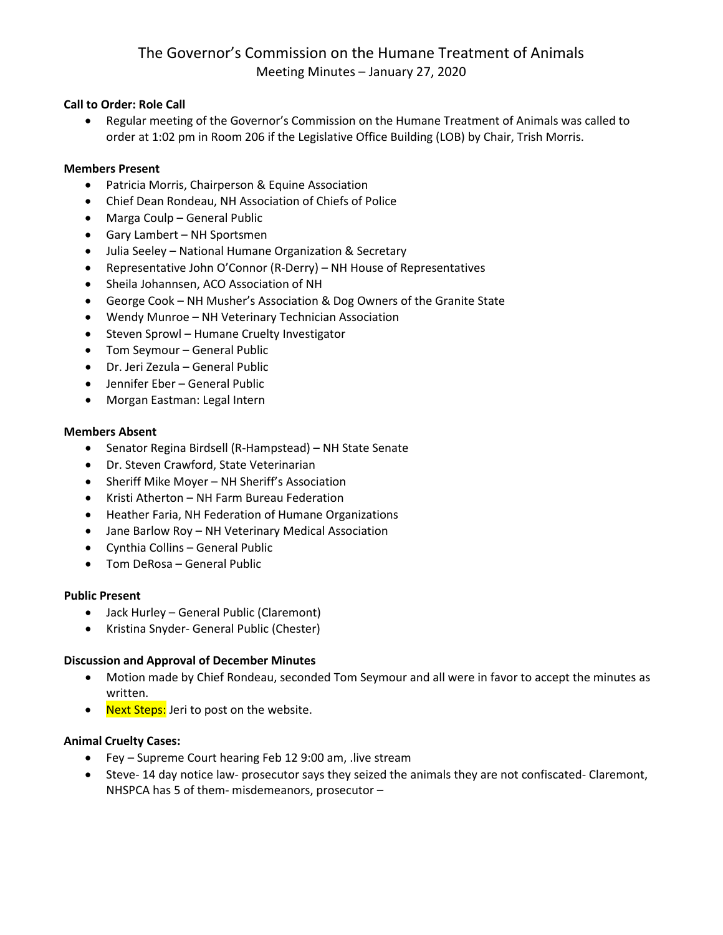# The Governor's Commission on the Humane Treatment of Animals Meeting Minutes – January 27, 2020

# **Call to Order: Role Call**

• Regular meeting of the Governor's Commission on the Humane Treatment of Animals was called to order at 1:02 pm in Room 206 if the Legislative Office Building (LOB) by Chair, Trish Morris.

# **Members Present**

- Patricia Morris, Chairperson & Equine Association
- Chief Dean Rondeau, NH Association of Chiefs of Police
- Marga Coulp General Public
- Gary Lambert NH Sportsmen
- Julia Seeley National Humane Organization & Secretary
- Representative John O'Connor (R-Derry) NH House of Representatives
- Sheila Johannsen, ACO Association of NH
- George Cook NH Musher's Association & Dog Owners of the Granite State
- Wendy Munroe NH Veterinary Technician Association
- Steven Sprowl Humane Cruelty Investigator
- Tom Seymour General Public
- Dr. Jeri Zezula General Public
- Jennifer Eber General Public
- Morgan Eastman: Legal Intern

### **Members Absent**

- Senator Regina Birdsell (R-Hampstead) NH State Senate
- Dr. Steven Crawford, State Veterinarian
- Sheriff Mike Moyer NH Sheriff's Association
- Kristi Atherton NH Farm Bureau Federation
- Heather Faria, NH Federation of Humane Organizations
- Jane Barlow Roy NH Veterinary Medical Association
- Cynthia Collins General Public
- Tom DeRosa General Public

# **Public Present**

- Jack Hurley General Public (Claremont)
- Kristina Snyder- General Public (Chester)

# **Discussion and Approval of December Minutes**

- Motion made by Chief Rondeau, seconded Tom Seymour and all were in favor to accept the minutes as written.
- Next Steps: Jeri to post on the website.

# **Animal Cruelty Cases:**

- Fey Supreme Court hearing Feb 12 9:00 am, .live stream
- Steve- 14 day notice law- prosecutor says they seized the animals they are not confiscated- Claremont, NHSPCA has 5 of them- misdemeanors, prosecutor –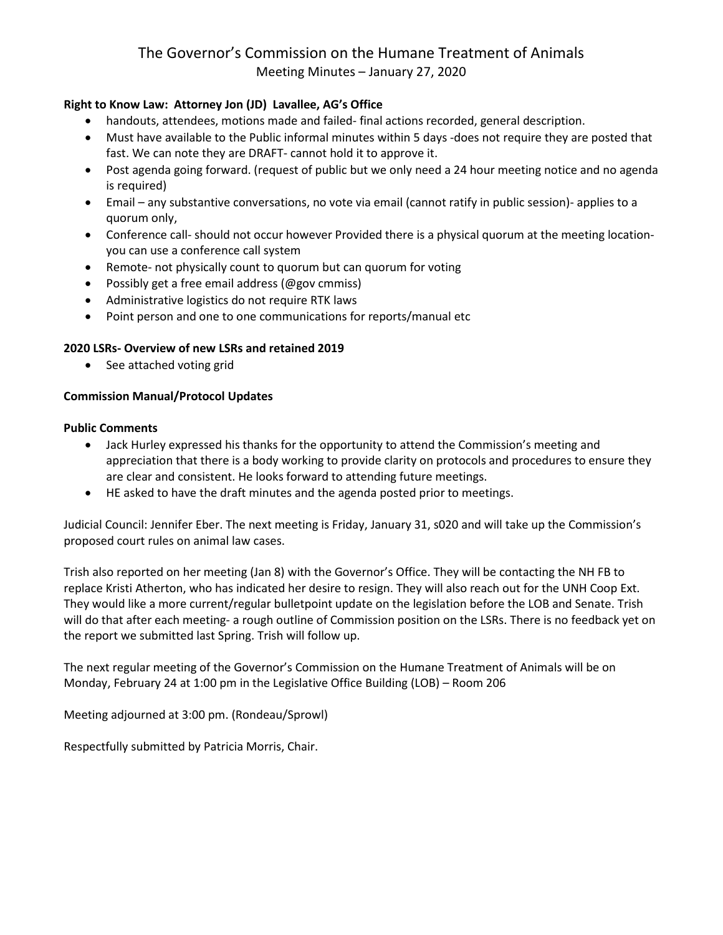# The Governor's Commission on the Humane Treatment of Animals Meeting Minutes – January 27, 2020

# **Right to Know Law: Attorney Jon (JD) Lavallee, AG's Office**

- handouts, attendees, motions made and failed- final actions recorded, general description.
- Must have available to the Public informal minutes within 5 days -does not require they are posted that fast. We can note they are DRAFT- cannot hold it to approve it.
- Post agenda going forward. (request of public but we only need a 24 hour meeting notice and no agenda is required)
- Email any substantive conversations, no vote via email (cannot ratify in public session)- applies to a quorum only,
- Conference call- should not occur however Provided there is a physical quorum at the meeting locationyou can use a conference call system
- Remote- not physically count to quorum but can quorum for voting
- Possibly get a free email address (@gov cmmiss)
- Administrative logistics do not require RTK laws
- Point person and one to one communications for reports/manual etc

# **2020 LSRs- Overview of new LSRs and retained 2019**

• See attached voting grid

# **Commission Manual/Protocol Updates**

### **Public Comments**

- Jack Hurley expressed his thanks for the opportunity to attend the Commission's meeting and appreciation that there is a body working to provide clarity on protocols and procedures to ensure they are clear and consistent. He looks forward to attending future meetings.
- HE asked to have the draft minutes and the agenda posted prior to meetings.

Judicial Council: Jennifer Eber. The next meeting is Friday, January 31, s020 and will take up the Commission's proposed court rules on animal law cases.

Trish also reported on her meeting (Jan 8) with the Governor's Office. They will be contacting the NH FB to replace Kristi Atherton, who has indicated her desire to resign. They will also reach out for the UNH Coop Ext. They would like a more current/regular bulletpoint update on the legislation before the LOB and Senate. Trish will do that after each meeting- a rough outline of Commission position on the LSRs. There is no feedback yet on the report we submitted last Spring. Trish will follow up.

The next regular meeting of the Governor's Commission on the Humane Treatment of Animals will be on Monday, February 24 at 1:00 pm in the Legislative Office Building (LOB) – Room 206

Meeting adjourned at 3:00 pm. (Rondeau/Sprowl)

Respectfully submitted by Patricia Morris, Chair.